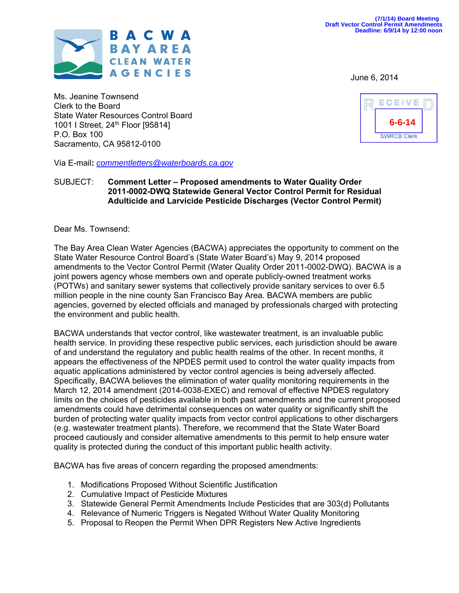

Ms. Jeanine Townsend Clerk to the Board State Water Resources Control Board 1001 I Street, 24<sup>th</sup> Floor [95814] P.O. Box 100 Sacramento, CA 95812-0100

Via E-mail**:** *commentletters@waterboards.ca.gov*

#### SUBJECT: **Comment Letter – Proposed amendments to Water Quality Order 2011-0002-DWQ Statewide General Vector Control Permit for Residual Adulticide and Larvicide Pesticide Discharges (Vector Control Permit)**

Dear Ms. Townsend:

The Bay Area Clean Water Agencies (BACWA) appreciates the opportunity to comment on the State Water Resource Control Board's (State Water Board's) May 9, 2014 proposed amendments to the Vector Control Permit (Water Quality Order 2011-0002-DWQ). BACWA is a joint powers agency whose members own and operate publicly-owned treatment works (POTWs) and sanitary sewer systems that collectively provide sanitary services to over 6.5 million people in the nine county San Francisco Bay Area. BACWA members are public agencies, governed by elected officials and managed by professionals charged with protecting the environment and public health.

BACWA understands that vector control, like wastewater treatment, is an invaluable public health service. In providing these respective public services, each jurisdiction should be aware of and understand the regulatory and public health realms of the other. In recent months, it appears the effectiveness of the NPDES permit used to control the water quality impacts from aquatic applications administered by vector control agencies is being adversely affected. Specifically, BACWA believes the elimination of water quality monitoring requirements in the March 12, 2014 amendment (2014-0038-EXEC) and removal of effective NPDES regulatory limits on the choices of pesticides available in both past amendments and the current proposed amendments could have detrimental consequences on water quality or significantly shift the burden of protecting water quality impacts from vector control applications to other dischargers (e.g. wastewater treatment plants). Therefore, we recommend that the State Water Board proceed cautiously and consider alternative amendments to this permit to help ensure water quality is protected during the conduct of this important public health activity.

BACWA has five areas of concern regarding the proposed amendments:

- 1. Modifications Proposed Without Scientific Justification
- 2. Cumulative Impact of Pesticide Mixtures
- 3. Statewide General Permit Amendments Include Pesticides that are 303(d) Pollutants
- 4. Relevance of Numeric Triggers is Negated Without Water Quality Monitoring
- 5. Proposal to Reopen the Permit When DPR Registers New Active Ingredients

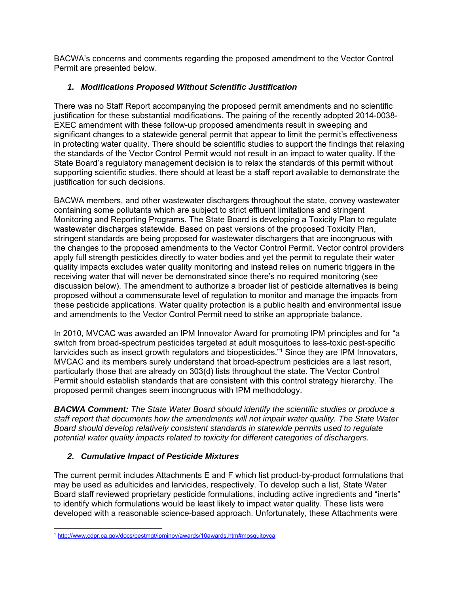BACWA's concerns and comments regarding the proposed amendment to the Vector Control Permit are presented below.

# *1. Modifications Proposed Without Scientific Justification*

There was no Staff Report accompanying the proposed permit amendments and no scientific justification for these substantial modifications. The pairing of the recently adopted 2014-0038- EXEC amendment with these follow-up proposed amendments result in sweeping and significant changes to a statewide general permit that appear to limit the permit's effectiveness in protecting water quality. There should be scientific studies to support the findings that relaxing the standards of the Vector Control Permit would not result in an impact to water quality. If the State Board's regulatory management decision is to relax the standards of this permit without supporting scientific studies, there should at least be a staff report available to demonstrate the justification for such decisions.

BACWA members, and other wastewater dischargers throughout the state, convey wastewater containing some pollutants which are subject to strict effluent limitations and stringent Monitoring and Reporting Programs. The State Board is developing a Toxicity Plan to regulate wastewater discharges statewide. Based on past versions of the proposed Toxicity Plan, stringent standards are being proposed for wastewater dischargers that are incongruous with the changes to the proposed amendments to the Vector Control Permit. Vector control providers apply full strength pesticides directly to water bodies and yet the permit to regulate their water quality impacts excludes water quality monitoring and instead relies on numeric triggers in the receiving water that will never be demonstrated since there's no required monitoring (see discussion below). The amendment to authorize a broader list of pesticide alternatives is being proposed without a commensurate level of regulation to monitor and manage the impacts from these pesticide applications. Water quality protection is a public health and environmental issue and amendments to the Vector Control Permit need to strike an appropriate balance.

In 2010, MVCAC was awarded an IPM Innovator Award for promoting IPM principles and for "a switch from broad-spectrum pesticides targeted at adult mosquitoes to less-toxic pest-specific larvicides such as insect growth regulators and biopesticides."1 Since they are IPM Innovators, MVCAC and its members surely understand that broad-spectrum pesticides are a last resort, particularly those that are already on 303(d) lists throughout the state. The Vector Control Permit should establish standards that are consistent with this control strategy hierarchy. The proposed permit changes seem incongruous with IPM methodology.

*BACWA Comment: The State Water Board should identify the scientific studies or produce a staff report that documents how the amendments will not impair water quality. The State Water Board should develop relatively consistent standards in statewide permits used to regulate potential water quality impacts related to toxicity for different categories of dischargers.* 

# *2. Cumulative Impact of Pesticide Mixtures*

The current permit includes Attachments E and F which list product-by-product formulations that may be used as adulticides and larvicides, respectively. To develop such a list, State Water Board staff reviewed proprietary pesticide formulations, including active ingredients and "inerts" to identify which formulations would be least likely to impact water quality. These lists were developed with a reasonable science-based approach. Unfortunately, these Attachments were

 <sup>1</sup> http://www.cdpr.ca.gov/docs/pestmgt/ipminov/awards/10awards.htm#mosquitovca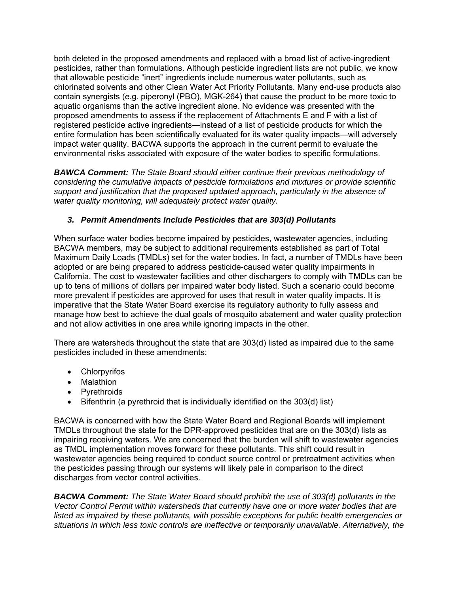both deleted in the proposed amendments and replaced with a broad list of active-ingredient pesticides, rather than formulations. Although pesticide ingredient lists are not public, we know that allowable pesticide "inert" ingredients include numerous water pollutants, such as chlorinated solvents and other Clean Water Act Priority Pollutants. Many end-use products also contain synergists (e.g. piperonyl (PBO), MGK-264) that cause the product to be more toxic to aquatic organisms than the active ingredient alone. No evidence was presented with the proposed amendments to assess if the replacement of Attachments E and F with a list of registered pesticide active ingredients—instead of a list of pesticide products for which the entire formulation has been scientifically evaluated for its water quality impacts—will adversely impact water quality. BACWA supports the approach in the current permit to evaluate the environmental risks associated with exposure of the water bodies to specific formulations.

*BAWCA Comment: The State Board should either continue their previous methodology of considering the cumulative impacts of pesticide formulations and mixtures or provide scientific support and justification that the proposed updated approach, particularly in the absence of water quality monitoring, will adequately protect water quality.* 

# *3. Permit Amendments Include Pesticides that are 303(d) Pollutants*

When surface water bodies become impaired by pesticides, wastewater agencies, including BACWA members, may be subject to additional requirements established as part of Total Maximum Daily Loads (TMDLs) set for the water bodies. In fact, a number of TMDLs have been adopted or are being prepared to address pesticide-caused water quality impairments in California. The cost to wastewater facilities and other dischargers to comply with TMDLs can be up to tens of millions of dollars per impaired water body listed. Such a scenario could become more prevalent if pesticides are approved for uses that result in water quality impacts. It is imperative that the State Water Board exercise its regulatory authority to fully assess and manage how best to achieve the dual goals of mosquito abatement and water quality protection and not allow activities in one area while ignoring impacts in the other.

There are watersheds throughout the state that are 303(d) listed as impaired due to the same pesticides included in these amendments:

- Chlorpyrifos
- Malathion
- Pyrethroids
- $\bullet$  Bifenthrin (a pyrethroid that is individually identified on the 303(d) list)

BACWA is concerned with how the State Water Board and Regional Boards will implement TMDLs throughout the state for the DPR-approved pesticides that are on the 303(d) lists as impairing receiving waters. We are concerned that the burden will shift to wastewater agencies as TMDL implementation moves forward for these pollutants. This shift could result in wastewater agencies being required to conduct source control or pretreatment activities when the pesticides passing through our systems will likely pale in comparison to the direct discharges from vector control activities.

*BACWA Comment: The State Water Board should prohibit the use of 303(d) pollutants in the Vector Control Permit within watersheds that currently have one or more water bodies that are listed as impaired by these pollutants, with possible exceptions for public health emergencies or situations in which less toxic controls are ineffective or temporarily unavailable. Alternatively, the*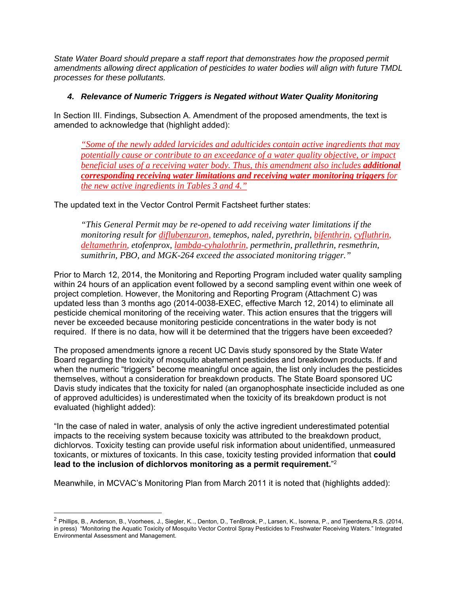*State Water Board should prepare a staff report that demonstrates how the proposed permit amendments allowing direct application of pesticides to water bodies will align with future TMDL processes for these pollutants.* 

### *4. Relevance of Numeric Triggers is Negated without Water Quality Monitoring*

In Section III. Findings, Subsection A. Amendment of the proposed amendments, the text is amended to acknowledge that (highlight added):

*"Some of the newly added larvicides and adulticides contain active ingredients that may potentially cause or contribute to an exceedance of a water quality objective, or impact beneficial uses of a receiving water body. Thus, this amendment also includes additional corresponding receiving water limitations and receiving water monitoring triggers for the new active ingredients in Tables 3 and 4."*

The updated text in the Vector Control Permit Factsheet further states:

*"This General Permit may be re-opened to add receiving water limitations if the monitoring result for diflubenzuron, temephos, naled, pyrethrin, bifenthrin, cyfluthrin, deltamethrin, etofenprox, lambda-cyhalothrin, permethrin, prallethrin, resmethrin, sumithrin, PBO, and MGK-264 exceed the associated monitoring trigger."*

Prior to March 12, 2014, the Monitoring and Reporting Program included water quality sampling within 24 hours of an application event followed by a second sampling event within one week of project completion. However, the Monitoring and Reporting Program (Attachment C) was updated less than 3 months ago (2014-0038-EXEC, effective March 12, 2014) to eliminate all pesticide chemical monitoring of the receiving water. This action ensures that the triggers will never be exceeded because monitoring pesticide concentrations in the water body is not required. If there is no data, how will it be determined that the triggers have been exceeded?

The proposed amendments ignore a recent UC Davis study sponsored by the State Water Board regarding the toxicity of mosquito abatement pesticides and breakdown products. If and when the numeric "triggers" become meaningful once again, the list only includes the pesticides themselves, without a consideration for breakdown products. The State Board sponsored UC Davis study indicates that the toxicity for naled (an organophosphate insecticide included as one of approved adulticides) is underestimated when the toxicity of its breakdown product is not evaluated (highlight added):

"In the case of naled in water, analysis of only the active ingredient underestimated potential impacts to the receiving system because toxicity was attributed to the breakdown product, dichlorvos. Toxicity testing can provide useful risk information about unidentified, unmeasured toxicants, or mixtures of toxicants. In this case, toxicity testing provided information that **could lead to the inclusion of dichlorvos monitoring as a permit requirement.**"2

Meanwhile, in MCVAC's Monitoring Plan from March 2011 it is noted that (highlights added):

<sup>&</sup>lt;sup>2</sup> Phillips, B., Anderson, B., Voorhees, J., Siegler, K.., Denton, D., TenBrook, P., Larsen, K., Isorena, P., and Tieerdema,R.S. (2014, in press) "Monitoring the Aquatic Toxicity of Mosquito Vector Control Spray Pesticides to Freshwater Receiving Waters." Integrated Environmental Assessment and Management.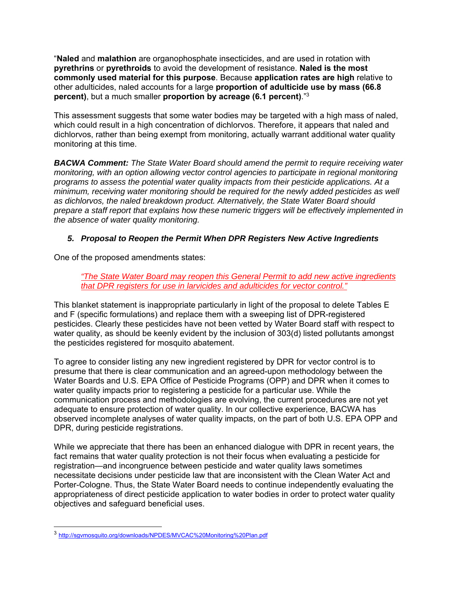"**Naled** and **malathion** are organophosphate insecticides, and are used in rotation with **pyrethrins** or **pyrethroids** to avoid the development of resistance. **Naled is the most commonly used material for this purpose**. Because **application rates are high** relative to other adulticides, naled accounts for a large **proportion of adulticide use by mass (66.8 percent)**, but a much smaller **proportion by acreage (6.1 percent)**."3

This assessment suggests that some water bodies may be targeted with a high mass of naled, which could result in a high concentration of dichlorvos. Therefore, it appears that naled and dichlorvos, rather than being exempt from monitoring, actually warrant additional water quality monitoring at this time.

*BACWA Comment: The State Water Board should amend the permit to require receiving water monitoring, with an option allowing vector control agencies to participate in regional monitoring programs to assess the potential water quality impacts from their pesticide applications. At a minimum, receiving water monitoring should be required for the newly added pesticides as well as dichlorvos, the naled breakdown product. Alternatively, the State Water Board should prepare a staff report that explains how these numeric triggers will be effectively implemented in the absence of water quality monitoring.* 

## *5. Proposal to Reopen the Permit When DPR Registers New Active Ingredients*

One of the proposed amendments states:

*"The State Water Board may reopen this General Permit to add new active ingredients that DPR registers for use in larvicides and adulticides for vector control."* 

This blanket statement is inappropriate particularly in light of the proposal to delete Tables E and F (specific formulations) and replace them with a sweeping list of DPR-registered pesticides. Clearly these pesticides have not been vetted by Water Board staff with respect to water quality, as should be keenly evident by the inclusion of 303(d) listed pollutants amongst the pesticides registered for mosquito abatement.

To agree to consider listing any new ingredient registered by DPR for vector control is to presume that there is clear communication and an agreed-upon methodology between the Water Boards and U.S. EPA Office of Pesticide Programs (OPP) and DPR when it comes to water quality impacts prior to registering a pesticide for a particular use. While the communication process and methodologies are evolving, the current procedures are not yet adequate to ensure protection of water quality. In our collective experience, BACWA has observed incomplete analyses of water quality impacts, on the part of both U.S. EPA OPP and DPR, during pesticide registrations.

While we appreciate that there has been an enhanced dialogue with DPR in recent years, the fact remains that water quality protection is not their focus when evaluating a pesticide for registration—and incongruence between pesticide and water quality laws sometimes necessitate decisions under pesticide law that are inconsistent with the Clean Water Act and Porter-Cologne. Thus, the State Water Board needs to continue independently evaluating the appropriateness of direct pesticide application to water bodies in order to protect water quality objectives and safeguard beneficial uses.

-

<sup>3</sup> http://sgvmosquito.org/downloads/NPDES/MVCAC%20Monitoring%20Plan.pdf